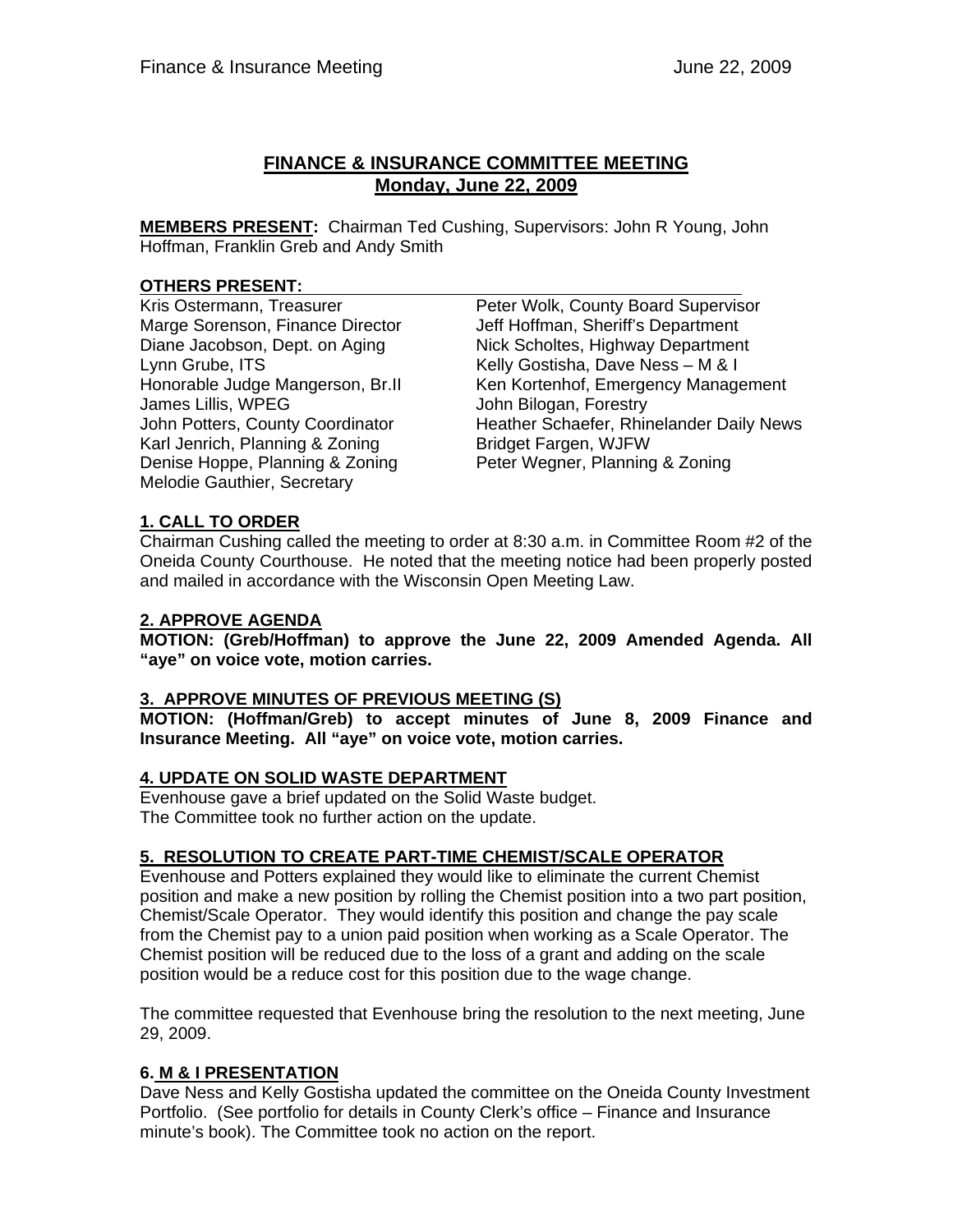# **FINANCE & INSURANCE COMMITTEE MEETING Monday, June 22, 2009**

**MEMBERS PRESENT:** Chairman Ted Cushing, Supervisors: John R Young, John Hoffman, Franklin Greb and Andy Smith

### **OTHERS PRESENT:**

Marge Sorenson, Finance Director Jeff Hoffman, Sheriff's Department Lynn Grube, ITS **Kelly Gostisha, Dave Ness – M & I** James Lillis, WPEG John Bilogan, Forestry Karl Jenrich, Planning & Zoning Bridget Fargen, WJFW Denise Hoppe, Planning & Zoning Peter Wegner, Planning & Zoning Melodie Gauthier, Secretary

Kris Ostermann, Treasurer **Peter Wolk, County Board Supervisor** Diane Jacobson, Dept. on Aging Nick Scholtes, Highway Department Honorable Judge Mangerson, Br.II Ken Kortenhof, Emergency Management John Potters, County Coordinator **Heather Schaefer, Rhinelander Daily News** 

# **1. CALL TO ORDER**

Chairman Cushing called the meeting to order at 8:30 a.m. in Committee Room #2 of the Oneida County Courthouse. He noted that the meeting notice had been properly posted and mailed in accordance with the Wisconsin Open Meeting Law.

## **2. APPROVE AGENDA**

**MOTION: (Greb/Hoffman) to approve the June 22, 2009 Amended Agenda. All "aye" on voice vote, motion carries.** 

# **3. APPROVE MINUTES OF PREVIOUS MEETING (S)**

 **MOTION: (Hoffman/Greb) to accept minutes of June 8, 2009 Finance and Insurance Meeting. All "aye" on voice vote, motion carries.** 

# **4. UPDATE ON SOLID WASTE DEPARTMENT**

 Evenhouse gave a brief updated on the Solid Waste budget. The Committee took no further action on the update.

# **5. RESOLUTION TO CREATE PART-TIME CHEMIST/SCALE OPERATOR**

Evenhouse and Potters explained they would like to eliminate the current Chemist position and make a new position by rolling the Chemist position into a two part position, Chemist/Scale Operator. They would identify this position and change the pay scale from the Chemist pay to a union paid position when working as a Scale Operator. The Chemist position will be reduced due to the loss of a grant and adding on the scale position would be a reduce cost for this position due to the wage change.

 The committee requested that Evenhouse bring the resolution to the next meeting, June 29, 2009.

# **6. M & I PRESENTATION**

 Dave Ness and Kelly Gostisha updated the committee on the Oneida County Investment Portfolio. (See portfolio for details in County Clerk's office – Finance and Insurance minute's book). The Committee took no action on the report.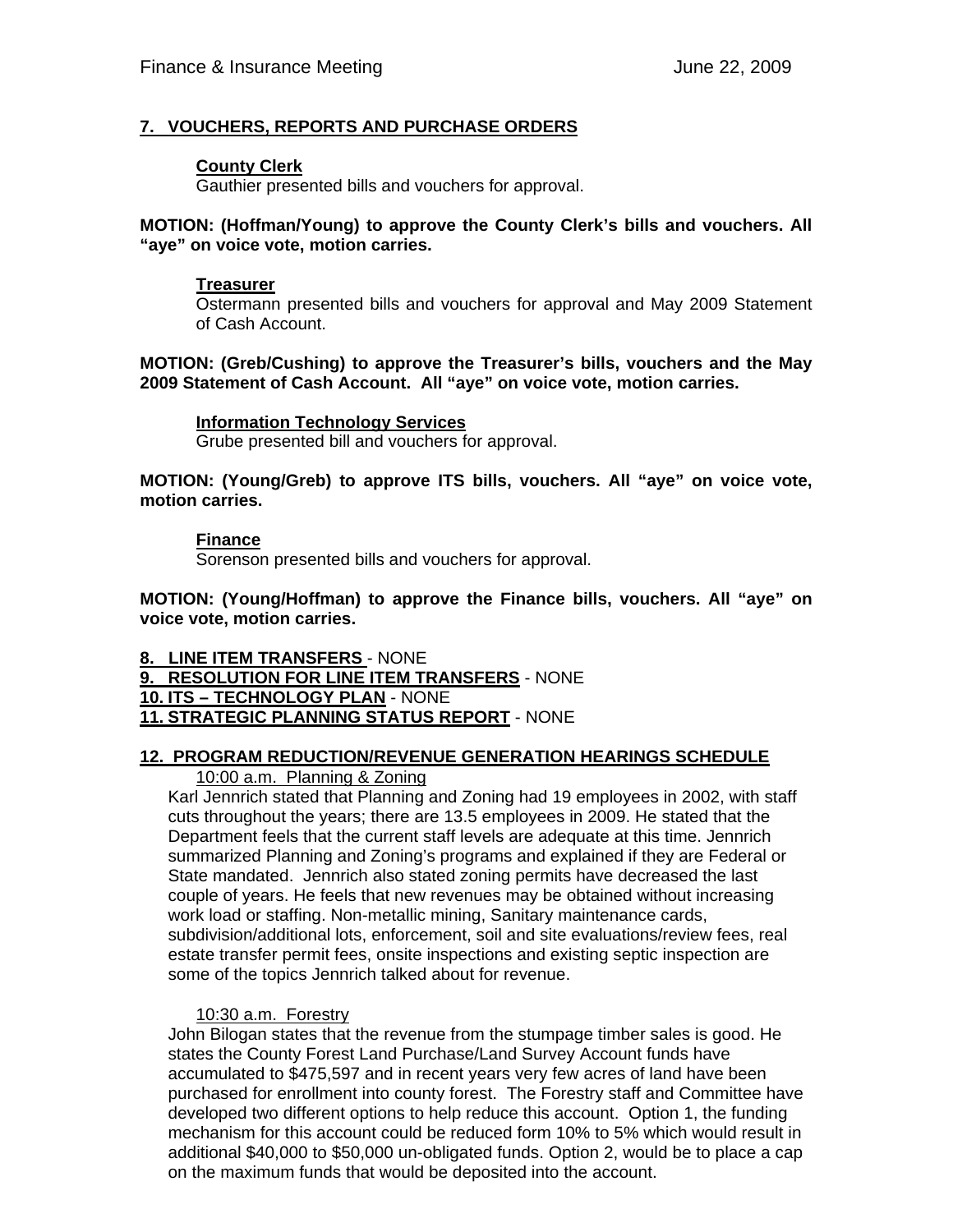### **7. VOUCHERS, REPORTS AND PURCHASE ORDERS**

### **County Clerk**

Gauthier presented bills and vouchers for approval.

#### **MOTION: (Hoffman/Young) to approve the County Clerk's bills and vouchers. All "aye" on voice vote, motion carries.**

#### **Treasurer**

Ostermann presented bills and vouchers for approval and May 2009 Statement of Cash Account.

**MOTION: (Greb/Cushing) to approve the Treasurer's bills, vouchers and the May 2009 Statement of Cash Account. All "aye" on voice vote, motion carries.** 

#### **Information Technology Services**

Grube presented bill and vouchers for approval.

**MOTION: (Young/Greb) to approve ITS bills, vouchers. All "aye" on voice vote, motion carries.** 

### **Finance**

Sorenson presented bills and vouchers for approval.

**MOTION: (Young/Hoffman) to approve the Finance bills, vouchers. All "aye" on voice vote, motion carries.** 

**8. LINE ITEM TRANSFERS** - NONE **9. RESOLUTION FOR LINE ITEM TRANSFERS** - NONE **10. ITS – TECHNOLOGY PLAN** - NONE **11. STRATEGIC PLANNING STATUS REPORT** - NONE

### **12. PROGRAM REDUCTION/REVENUE GENERATION HEARINGS SCHEDULE**

### 10:00 a.m. Planning & Zoning

Karl Jennrich stated that Planning and Zoning had 19 employees in 2002, with staff cuts throughout the years; there are 13.5 employees in 2009. He stated that the Department feels that the current staff levels are adequate at this time. Jennrich summarized Planning and Zoning's programs and explained if they are Federal or State mandated. Jennrich also stated zoning permits have decreased the last couple of years. He feels that new revenues may be obtained without increasing work load or staffing. Non-metallic mining, Sanitary maintenance cards, subdivision/additional lots, enforcement, soil and site evaluations/review fees, real estate transfer permit fees, onsite inspections and existing septic inspection are some of the topics Jennrich talked about for revenue.

### 10:30 a.m. Forestry

John Bilogan states that the revenue from the stumpage timber sales is good. He states the County Forest Land Purchase/Land Survey Account funds have accumulated to \$475,597 and in recent years very few acres of land have been purchased for enrollment into county forest. The Forestry staff and Committee have developed two different options to help reduce this account. Option 1, the funding mechanism for this account could be reduced form 10% to 5% which would result in additional \$40,000 to \$50,000 un-obligated funds. Option 2, would be to place a cap on the maximum funds that would be deposited into the account.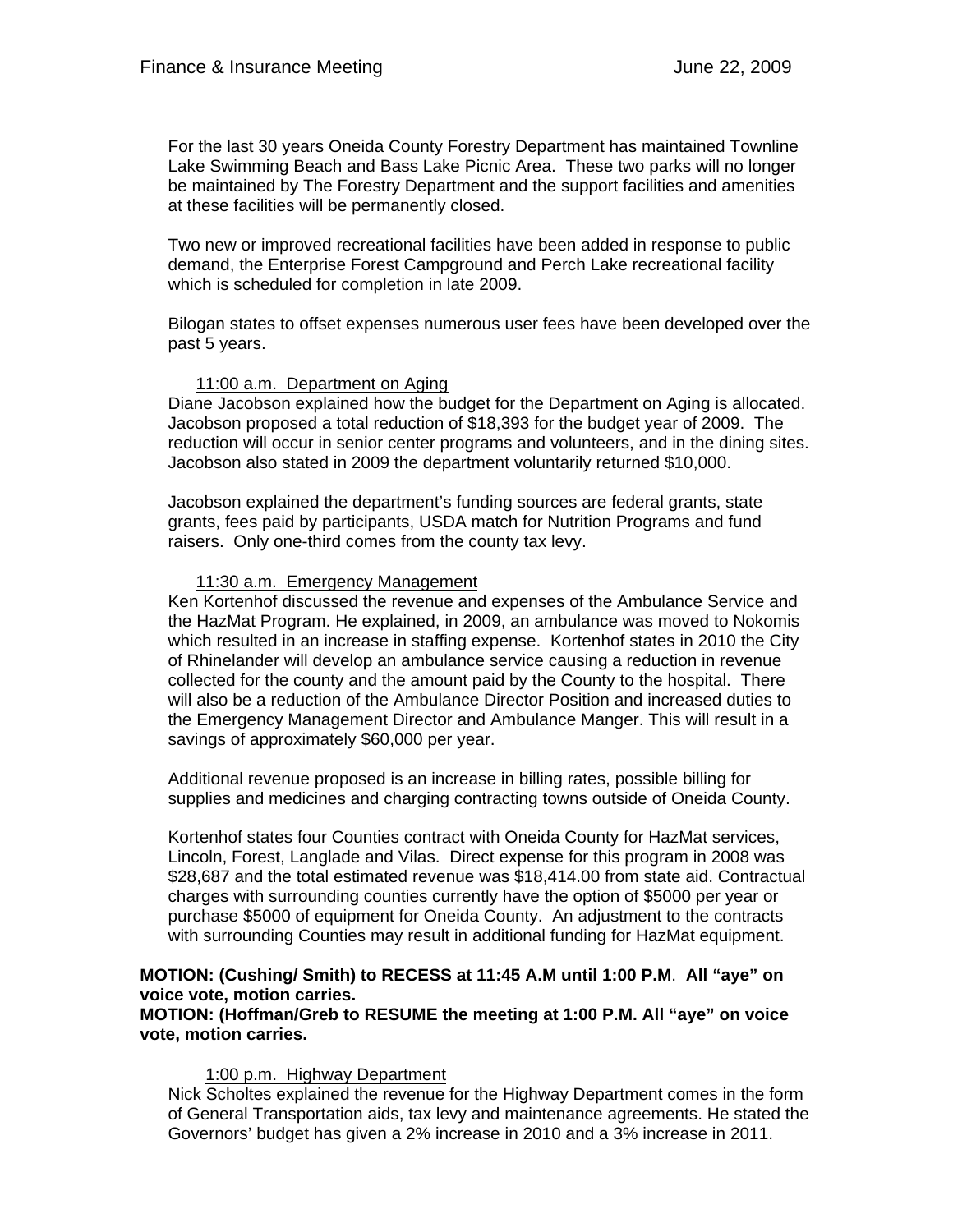For the last 30 years Oneida County Forestry Department has maintained Townline Lake Swimming Beach and Bass Lake Picnic Area. These two parks will no longer be maintained by The Forestry Department and the support facilities and amenities at these facilities will be permanently closed.

Two new or improved recreational facilities have been added in response to public demand, the Enterprise Forest Campground and Perch Lake recreational facility which is scheduled for completion in late 2009.

Bilogan states to offset expenses numerous user fees have been developed over the past 5 years.

#### 11:00 a.m. Department on Aging

Diane Jacobson explained how the budget for the Department on Aging is allocated. Jacobson proposed a total reduction of \$18,393 for the budget year of 2009. The reduction will occur in senior center programs and volunteers, and in the dining sites. Jacobson also stated in 2009 the department voluntarily returned \$10,000.

Jacobson explained the department's funding sources are federal grants, state grants, fees paid by participants, USDA match for Nutrition Programs and fund raisers. Only one-third comes from the county tax levy.

#### 11:30 a.m. Emergency Management

Ken Kortenhof discussed the revenue and expenses of the Ambulance Service and the HazMat Program. He explained, in 2009, an ambulance was moved to Nokomis which resulted in an increase in staffing expense. Kortenhof states in 2010 the City of Rhinelander will develop an ambulance service causing a reduction in revenue collected for the county and the amount paid by the County to the hospital. There will also be a reduction of the Ambulance Director Position and increased duties to the Emergency Management Director and Ambulance Manger. This will result in a savings of approximately \$60,000 per year.

Additional revenue proposed is an increase in billing rates, possible billing for supplies and medicines and charging contracting towns outside of Oneida County.

Kortenhof states four Counties contract with Oneida County for HazMat services, Lincoln, Forest, Langlade and Vilas. Direct expense for this program in 2008 was \$28,687 and the total estimated revenue was \$18,414.00 from state aid. Contractual charges with surrounding counties currently have the option of \$5000 per year or purchase \$5000 of equipment for Oneida County. An adjustment to the contracts with surrounding Counties may result in additional funding for HazMat equipment.

### **MOTION: (Cushing/ Smith) to RECESS at 11:45 A.M until 1:00 P.M**. **All "aye" on voice vote, motion carries.**

**MOTION: (Hoffman/Greb to RESUME the meeting at 1:00 P.M. All "aye" on voice vote, motion carries.** 

#### 1:00 p.m. Highway Department

Nick Scholtes explained the revenue for the Highway Department comes in the form of General Transportation aids, tax levy and maintenance agreements. He stated the Governors' budget has given a 2% increase in 2010 and a 3% increase in 2011.